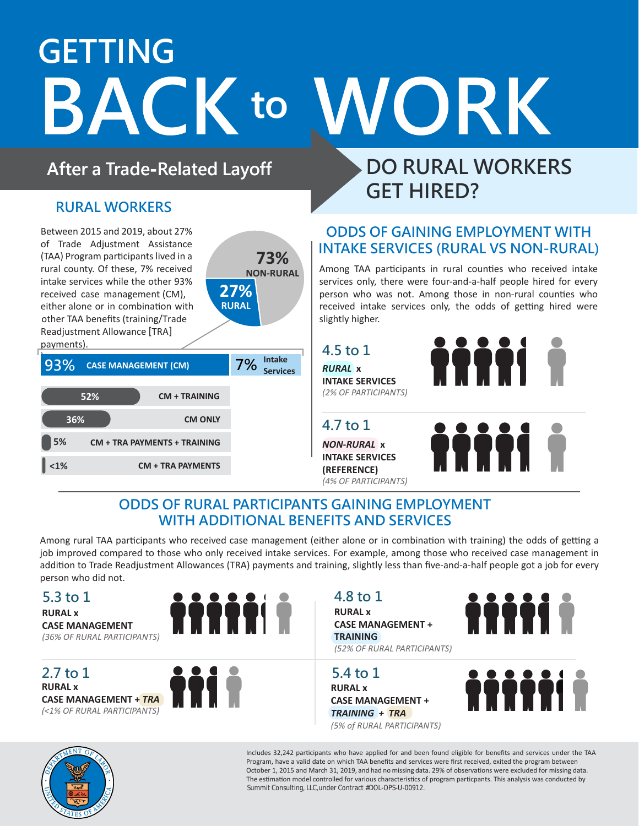# **GETTING BACK to WORK to**

**73% NON-RURAL**

**27% RURAL**

### **After a Trade-Related Layoff**

### **RURAL WORKERS**

Between 2015 and 2019, about 27% of Trade Adjustment Assistance (TAA) Program participants lived in a rural county. Of these, 7% received intake services while the other 93% received case management (CM), either alone or in combination with other TAA benefits (training/Trade Readjustment Allowance [TRA] payments).

| 93%<br><b>CASE MANAGEMENT (CM)</b>        | 7% | <b>Intake</b><br><b>Services</b> |
|-------------------------------------------|----|----------------------------------|
| 52%<br><b>CM + TRAINING</b>               |    |                                  |
| 36%<br><b>CM ONLY</b>                     |    |                                  |
| 5%<br><b>CM + TRA PAYMENTS + TRAINING</b> |    |                                  |
| 1%<br><b>CM + TRA PAYMENTS</b>            |    |                                  |

### **DO RURAL WORKERS GET HIRED?**

### **ODDS OF GAINING EMPLOYMENT WITH INTAKE SERVICES (RURAL VS NON-RURAL)**

Among TAA participants in rural counties who received intake services only, there were four-and-a-half people hired for every person who was not. Among those in non-rural counties who received intake services only, the odds of getting hired were slightly higher.

**4.5 to 1**

*RURAL* **x INTAKE SERVICES** *(2% OF PARTICIPANTS)*

### **4.7 to 1**

*NON-RURAL* **x INTAKE SERVICES (REFERENCE)** *(4% OF PARTICIPANTS)*



### **ODDS OF RURAL PARTICIPANTS GAINING EMPLOYMENT WITH ADDITIONAL BENEFITS AND SERVICES**

Among rural TAA participants who received case management (either alone or in combination with training) the odds of getting a job improved compared to those who only received intake services. For example, among those who received case management in addition to Trade Readjustment Allowances (TRA) payments and training, slightly less than five-and-a-half people got a job for every person who did not.

#### **5.3 to 1**

**RURAL x CASE MANAGEMENT** *(36% OF RURAL PARTICIPANTS)*

**RURAL x CASE MANAGEMENT +** *TRA (<1% OF RURAL PARTICIPANTS)* **2.7 to 1**



### **4.8 to 1**

**RURAL x CASE MANAGEMENT + TRAINING** *(52% OF RURAL PARTICIPANTS)*



**RURAL x CASE MANAGEMENT +** *TRAINING + TRA (5% of RURAL PARTICIPANTS)*







Summit Consulting, LLC,under Contract #DOL-OPS-U-00912. The estimation model controlled for various characteristics of program particpants. This analysis was conducted by October 1, 2015 and March 31, 2019, and had no missing data. 29% of observations were excluded for missing data. Program, have a valid date on which TAA benefits and services were first received, exited the program between Includes 32,242 participants who have applied for and been found eligible for benefits and services under the TAA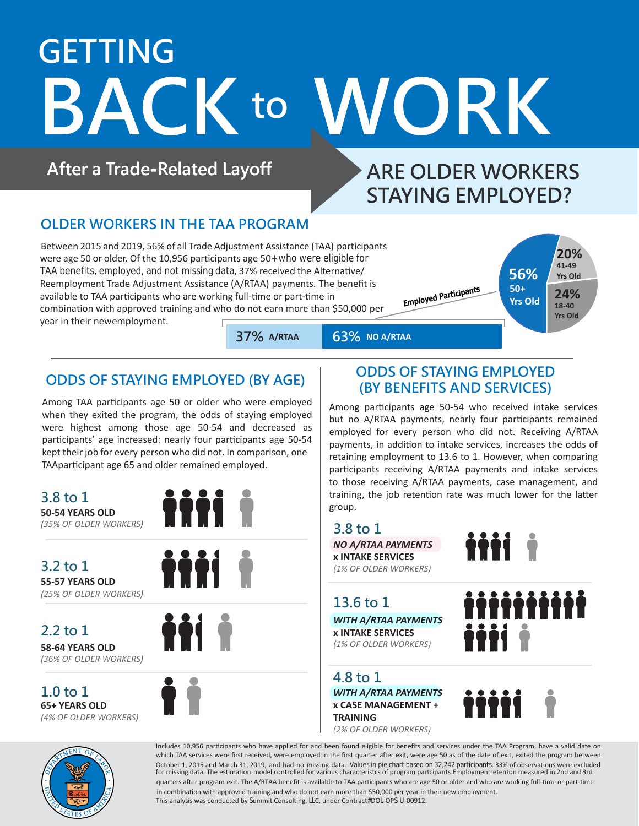# **GETTING BACK to WORK**

**After a Trade-Related Layoff**

## **ARE OLDER WORKERS STAYING EMPLOYED?**

### **OLDER WORKERS IN THE TAA PROGRAM**

Between 2015 and 2019, 56% of all Trade Adjustment Assistance (TAA) participants were age 50 or older. Of the 10,956 participants age 50+ who were eligible for TAA benefits, employed, and not missing data, 37% received the Alternative/ Reemployment Trade Adjustment Assistance (A/RTAA) payments. The benefit is available to TAA participants who are working full-time or part-time in combination with approved training and who do not earn more than \$50,000 per year in their newemployment.





**37% 63%**

**63% NO A/RTAA** 

### **ODDS OF STAYING EMPLOYED (BY AGE)**

Among TAA participants age 50 or older who were employed when they exited the program, the odds of staying employed were highest among those age 50-54 and decreased as participants' age increased: nearly four participants age 50-54 kept their job for every person who did not. In comparison, one TAAparticipant age 65 and older remained employed.

**50-54 YEARS OLD** *(35% OF OLDER WORKERS)* **3.8 to 1**



**55-57 YEARS OLD** *(25% OF OLDER WORKERS)* **3.2 to 1**

**58-64 YEARS OLD 2.2 to 1**

*(36% OF OLDER WORKERS)*

**65+ YEARS OLD** *(4% OF OLDER WORKERS)*



**THE** 



### **ODDS OF STAYING EMPLOYED (BY BENEFITS AND SERVICES)**

Among participants age 50-54 who received intake services but no A/RTAA payments, nearly four participants remained employed for every person who did not. Receiving A/RTAA payments, in addition to intake services, increases the odds of retaining employment to 13.6 to 1. However, when comparing participants receiving A/RTAA payments and intake services to those receiving A/RTAA payments, case management, and training, the job retention rate was much lower for the latter group.

*NO A/RTAA PAYMENTS* **x INTAKE SERVICES** *(1% OF OLDER WORKERS)* **3.8 to 1**



*WITH A/RTAA PAYMENTS*  **x INTAKE SERVICES** *(1% OF OLDER WORKERS)* **13.6 to 1**

**1.0 to 1** *WITH A/RTAA PAYMENTS*  **x CASE MANAGEMENT + TRAINING 4.8 to 1**

*(2% OF OLDER WORKERS)*

iiiiiiiiii ijii j

ittit



This analysis was conducted by Summit Consulting, LLC, under Contract#DOL-OPS-U-00912. in combination with approved training and who do not earn more than \$50,000 per year in their new employment. quarters after program exit. The A/RTAA benefit is available to TAA participants who are age 50 or older and who are working full-time or part-time October 1, 2015 and March 31, 2019, and had no missing data. Values in pie chart based on 32,242 participants. 33% of observations were excluded for missing data. The estimation model controlled for various characteristcs of program partcipants.Employmentretenton measured in 2nd and 3rd which TAA services were first received, were employed in the first quarter after exit, were age 50 as of the date of exit, exited the program between Includes 10,956 participants who have applied for and been found eligible for benefits and services under the TAA Program, have a valid date on